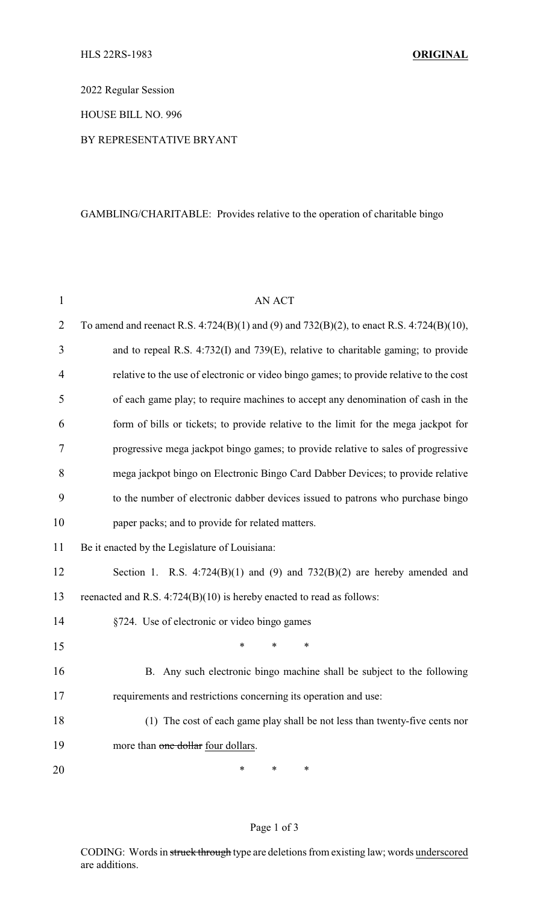2022 Regular Session

HOUSE BILL NO. 996

## BY REPRESENTATIVE BRYANT

# GAMBLING/CHARITABLE: Provides relative to the operation of charitable bingo

| $\mathbf{1}$   | <b>AN ACT</b>                                                                            |
|----------------|------------------------------------------------------------------------------------------|
| $\overline{2}$ | To amend and reenact R.S. 4:724(B)(1) and (9) and 732(B)(2), to enact R.S. 4:724(B)(10), |
| 3              | and to repeal R.S. 4:732(I) and 739(E), relative to charitable gaming; to provide        |
| $\overline{4}$ | relative to the use of electronic or video bingo games; to provide relative to the cost  |
| 5              | of each game play; to require machines to accept any denomination of cash in the         |
| 6              | form of bills or tickets; to provide relative to the limit for the mega jackpot for      |
| 7              | progressive mega jackpot bingo games; to provide relative to sales of progressive        |
| 8              | mega jackpot bingo on Electronic Bingo Card Dabber Devices; to provide relative          |
| 9              | to the number of electronic dabber devices issued to patrons who purchase bingo          |
| 10             | paper packs; and to provide for related matters.                                         |
| 11             | Be it enacted by the Legislature of Louisiana:                                           |
| 12             | Section 1. R.S. $4:724(B)(1)$ and (9) and $732(B)(2)$ are hereby amended and             |
| 13             | reenacted and R.S. 4:724(B)(10) is hereby enacted to read as follows:                    |
| 14             | §724. Use of electronic or video bingo games                                             |
| 15             | *<br>*<br>∗                                                                              |
| 16             | Any such electronic bingo machine shall be subject to the following<br>B.                |
| 17             | requirements and restrictions concerning its operation and use:                          |
| 18             | (1) The cost of each game play shall be not less than twenty-five cents nor              |
| 19             | more than one dollar four dollars.                                                       |
| 20             | ∗<br>∗<br>∗                                                                              |

# Page 1 of 3

CODING: Words in struck through type are deletions from existing law; words underscored are additions.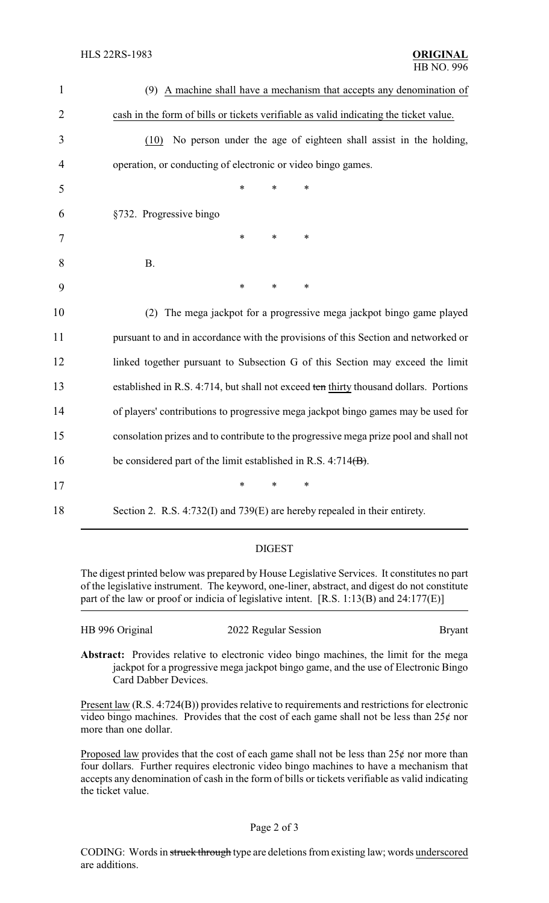| $\mathbf{1}$   | (9) A machine shall have a mechanism that accepts any denomination of                 |
|----------------|---------------------------------------------------------------------------------------|
| $\overline{2}$ | cash in the form of bills or tickets verifiable as valid indicating the ticket value. |
| 3              | No person under the age of eighteen shall assist in the holding,<br>(10)              |
| $\overline{4}$ | operation, or conducting of electronic or video bingo games.                          |
| 5              | $\ast$<br>*<br>*                                                                      |
| 6              | §732. Progressive bingo                                                               |
| 7              | *<br>*<br>*                                                                           |
| 8              | <b>B.</b>                                                                             |
| 9              | ∗<br>*<br>*                                                                           |
| 10             | The mega jackpot for a progressive mega jackpot bingo game played<br>(2)              |
| 11             | pursuant to and in accordance with the provisions of this Section and networked or    |
| 12             | linked together pursuant to Subsection G of this Section may exceed the limit         |
| 13             | established in R.S. 4:714, but shall not exceed ten thirty thousand dollars. Portions |
| 14             | of players' contributions to progressive mega jackpot bingo games may be used for     |
| 15             | consolation prizes and to contribute to the progressive mega prize pool and shall not |
| 16             | be considered part of the limit established in R.S. $4:714(B)$ .                      |
| 17             | $\ast$<br>*<br>*                                                                      |
| 18             | Section 2. R.S. 4:732(I) and 739(E) are hereby repealed in their entirety.            |

### DIGEST

The digest printed below was prepared by House Legislative Services. It constitutes no part of the legislative instrument. The keyword, one-liner, abstract, and digest do not constitute part of the law or proof or indicia of legislative intent. [R.S. 1:13(B) and 24:177(E)]

| HB 996 Original | 2022 Regular Session | <b>Bryant</b> |
|-----------------|----------------------|---------------|
|                 |                      |               |

**Abstract:** Provides relative to electronic video bingo machines, the limit for the mega jackpot for a progressive mega jackpot bingo game, and the use of Electronic Bingo Card Dabber Devices.

Present law (R.S. 4:724(B)) provides relative to requirements and restrictions for electronic video bingo machines. Provides that the cost of each game shall not be less than  $25¢$  nor more than one dollar.

Proposed law provides that the cost of each game shall not be less than  $25¢$  nor more than four dollars. Further requires electronic video bingo machines to have a mechanism that accepts any denomination of cash in the form of bills or tickets verifiable as valid indicating the ticket value.